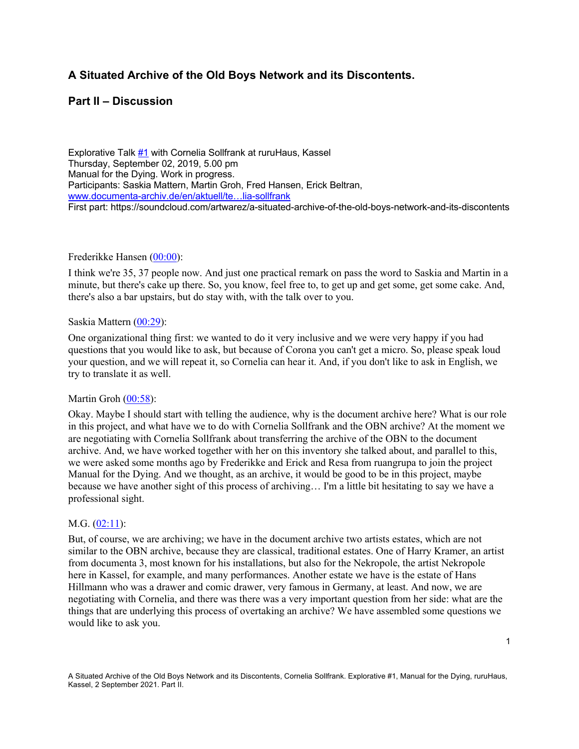# **A Situated Archive of the Old Boys Network and its Discontents.**

# **Part II – Discussion**

Explorative Talk #1 with Cornelia Sollfrank at ruruHaus, Kassel Thursday, September 02, 2019, 5.00 pm Manual for the Dying. Work in progress. Participants: Saskia Mattern, Martin Groh, Fred Hansen, Erick Beltran, www.documenta-archiv.de/en/aktuell/te…lia-sollfrank First part: https://soundcloud.com/artwarez/a-situated-archive-of-the-old-boys-network-and-its-discontents

### Frederikke Hansen (00:00):

I think we're 35, 37 people now. And just one practical remark on pass the word to Saskia and Martin in a minute, but there's cake up there. So, you know, feel free to, to get up and get some, get some cake. And, there's also a bar upstairs, but do stay with, with the talk over to you.

### Saskia Mattern (00:29):

One organizational thing first: we wanted to do it very inclusive and we were very happy if you had questions that you would like to ask, but because of Corona you can't get a micro. So, please speak loud your question, and we will repeat it, so Cornelia can hear it. And, if you don't like to ask in English, we try to translate it as well.

### Martin Groh (00:58):

Okay. Maybe I should start with telling the audience, why is the document archive here? What is our role in this project, and what have we to do with Cornelia Sollfrank and the OBN archive? At the moment we are negotiating with Cornelia Sollfrank about transferring the archive of the OBN to the document archive. And, we have worked together with her on this inventory she talked about, and parallel to this, we were asked some months ago by Frederikke and Erick and Resa from ruangrupa to join the project Manual for the Dying. And we thought, as an archive, it would be good to be in this project, maybe because we have another sight of this process of archiving… I'm a little bit hesitating to say we have a professional sight.

### M.G. (02:11):

But, of course, we are archiving; we have in the document archive two artists estates, which are not similar to the OBN archive, because they are classical, traditional estates. One of Harry Kramer, an artist from documenta 3, most known for his installations, but also for the Nekropole, the artist Nekropole here in Kassel, for example, and many performances. Another estate we have is the estate of Hans Hillmann who was a drawer and comic drawer, very famous in Germany, at least. And now, we are negotiating with Cornelia, and there was there was a very important question from her side: what are the things that are underlying this process of overtaking an archive? We have assembled some questions we would like to ask you.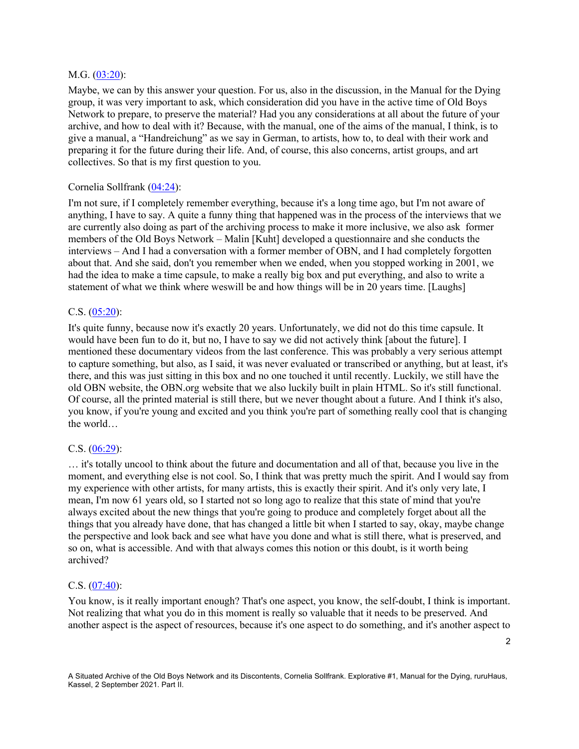#### M.G. (03:20):

Maybe, we can by this answer your question. For us, also in the discussion, in the Manual for the Dying group, it was very important to ask, which consideration did you have in the active time of Old Boys Network to prepare, to preserve the material? Had you any considerations at all about the future of your archive, and how to deal with it? Because, with the manual, one of the aims of the manual, I think, is to give a manual, a "Handreichung" as we say in German, to artists, how to, to deal with their work and preparing it for the future during their life. And, of course, this also concerns, artist groups, and art collectives. So that is my first question to you.

### Cornelia Sollfrank (04:24):

I'm not sure, if I completely remember everything, because it's a long time ago, but I'm not aware of anything, I have to say. A quite a funny thing that happened was in the process of the interviews that we are currently also doing as part of the archiving process to make it more inclusive, we also ask former members of the Old Boys Network – Malin [Kuht] developed a questionnaire and she conducts the interviews – And I had a conversation with a former member of OBN, and I had completely forgotten about that. And she said, don't you remember when we ended, when you stopped working in 2001, we had the idea to make a time capsule, to make a really big box and put everything, and also to write a statement of what we think where weswill be and how things will be in 20 years time. [Laughs]

### C.S. (05:20):

It's quite funny, because now it's exactly 20 years. Unfortunately, we did not do this time capsule. It would have been fun to do it, but no, I have to say we did not actively think [about the future]. I mentioned these documentary videos from the last conference. This was probably a very serious attempt to capture something, but also, as I said, it was never evaluated or transcribed or anything, but at least, it's there, and this was just sitting in this box and no one touched it until recently. Luckily, we still have the old OBN website, the OBN.org website that we also luckily built in plain HTML. So it's still functional. Of course, all the printed material is still there, but we never thought about a future. And I think it's also, you know, if you're young and excited and you think you're part of something really cool that is changing the world…

### C.S. (06:29):

… it's totally uncool to think about the future and documentation and all of that, because you live in the moment, and everything else is not cool. So, I think that was pretty much the spirit. And I would say from my experience with other artists, for many artists, this is exactly their spirit. And it's only very late, I mean, I'm now 61 years old, so I started not so long ago to realize that this state of mind that you're always excited about the new things that you're going to produce and completely forget about all the things that you already have done, that has changed a little bit when I started to say, okay, maybe change the perspective and look back and see what have you done and what is still there, what is preserved, and so on, what is accessible. And with that always comes this notion or this doubt, is it worth being archived?

### C.S. (07:40):

You know, is it really important enough? That's one aspect, you know, the self-doubt, I think is important. Not realizing that what you do in this moment is really so valuable that it needs to be preserved. And another aspect is the aspect of resources, because it's one aspect to do something, and it's another aspect to

2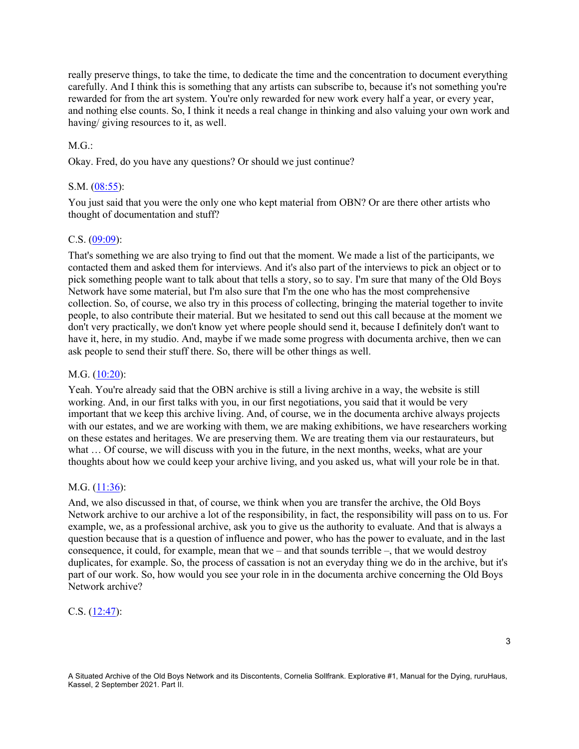really preserve things, to take the time, to dedicate the time and the concentration to document everything carefully. And I think this is something that any artists can subscribe to, because it's not something you're rewarded for from the art system. You're only rewarded for new work every half a year, or every year, and nothing else counts. So, I think it needs a real change in thinking and also valuing your own work and having/ giving resources to it, as well.

# $MG:$

Okay. Fred, do you have any questions? Or should we just continue?

# S.M. (08:55):

You just said that you were the only one who kept material from OBN? Or are there other artists who thought of documentation and stuff?

# C.S. (09:09):

That's something we are also trying to find out that the moment. We made a list of the participants, we contacted them and asked them for interviews. And it's also part of the interviews to pick an object or to pick something people want to talk about that tells a story, so to say. I'm sure that many of the Old Boys Network have some material, but I'm also sure that I'm the one who has the most comprehensive collection. So, of course, we also try in this process of collecting, bringing the material together to invite people, to also contribute their material. But we hesitated to send out this call because at the moment we don't very practically, we don't know yet where people should send it, because I definitely don't want to have it, here, in my studio. And, maybe if we made some progress with documenta archive, then we can ask people to send their stuff there. So, there will be other things as well.

### M.G. (10:20):

Yeah. You're already said that the OBN archive is still a living archive in a way, the website is still working. And, in our first talks with you, in our first negotiations, you said that it would be very important that we keep this archive living. And, of course, we in the documenta archive always projects with our estates, and we are working with them, we are making exhibitions, we have researchers working on these estates and heritages. We are preserving them. We are treating them via our restaurateurs, but what ... Of course, we will discuss with you in the future, in the next months, weeks, what are your thoughts about how we could keep your archive living, and you asked us, what will your role be in that.

# M.G. (11:36):

And, we also discussed in that, of course, we think when you are transfer the archive, the Old Boys Network archive to our archive a lot of the responsibility, in fact, the responsibility will pass on to us. For example, we, as a professional archive, ask you to give us the authority to evaluate. And that is always a question because that is a question of influence and power, who has the power to evaluate, and in the last consequence, it could, for example, mean that we – and that sounds terrible –, that we would destroy duplicates, for example. So, the process of cassation is not an everyday thing we do in the archive, but it's part of our work. So, how would you see your role in in the documenta archive concerning the Old Boys Network archive?

# C.S. (12:47):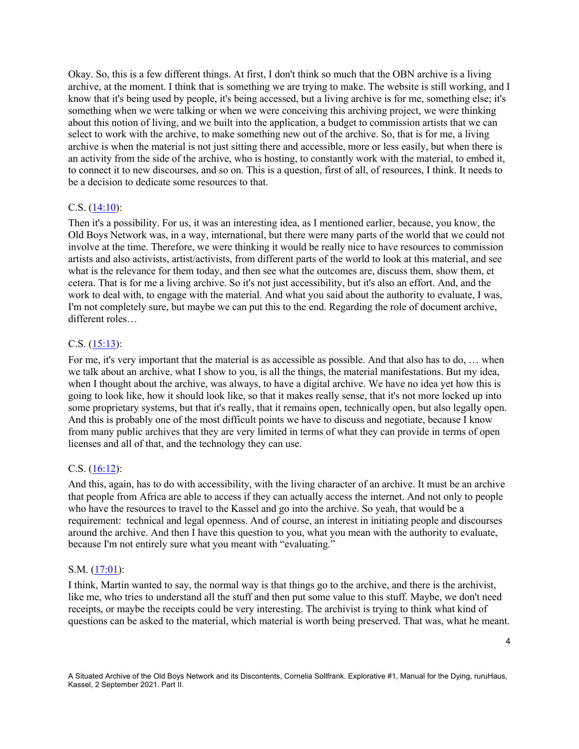Okay. So, this is a few different things. At first, I don't think so much that the OBN archive is a living archive, at the moment. I think that is something we are trying to make. The website is still working, and I know that it's being used by people, it's being accessed, but a living archive is for me, something else; it's something when we were talking or when we were conceiving this archiving project, we were thinking about this notion of living, and we built into the application, a budget to commission artists that we can select to work with the archive, to make something new out of the archive. So, that is for me, a living archive is when the material is not just sitting there and accessible, more or less easily, but when there is an activity from the side of the archive, who is hosting, to constantly work with the material, to embed it, to connect it to new discourses, and so on. This is a question, first of all, of resources, I think. It needs to be a decision to dedicate some resources to that.

### C.S.  $(14:10)$ :

Then it's a possibility. For us, it was an interesting idea, as I mentioned earlier, because, you know, the Old Boys Network was, in a way, international, but there were many parts of the world that we could not involve at the time. Therefore, we were thinking it would be really nice to have resources to commission artists and also activists, artist/activists, from different parts of the world to look at this material, and see what is the relevance for them today, and then see what the outcomes are, discuss them, show them, et cetera. That is for me a living archive. So it's not just accessibility, but it's also an effort. And, and the work to deal with, to engage with the material. And what you said about the authority to evaluate, I was, I'm not completely sure, but maybe we can put this to the end. Regarding the role of document archive, different roles…

# C.S. (15:13):

For me, it's very important that the material is as accessible as possible. And that also has to do, … when we talk about an archive, what I show to you, is all the things, the material manifestations. But my idea, when I thought about the archive, was always, to have a digital archive. We have no idea yet how this is going to look like, how it should look like, so that it makes really sense, that it's not more locked up into some proprietary systems, but that it's really, that it remains open, technically open, but also legally open. And this is probably one of the most difficult points we have to discuss and negotiate, because I know from many public archives that they are very limited in terms of what they can provide in terms of open licenses and all of that, and the technology they can use.

### C.S. (16:12):

And this, again, has to do with accessibility, with the living character of an archive. It must be an archive that people from Africa are able to access if they can actually access the internet. And not only to people who have the resources to travel to the Kassel and go into the archive. So yeah, that would be a requirement: technical and legal openness. And of course, an interest in initiating people and discourses around the archive. And then I have this question to you, what you mean with the authority to evaluate, because I'm not entirely sure what you meant with "evaluating."

### S.M. (17:01):

I think, Martin wanted to say, the normal way is that things go to the archive, and there is the archivist, like me, who tries to understand all the stuff and then put some value to this stuff. Maybe, we don't need receipts, or maybe the receipts could be very interesting. The archivist is trying to think what kind of questions can be asked to the material, which material is worth being preserved. That was, what he meant.

4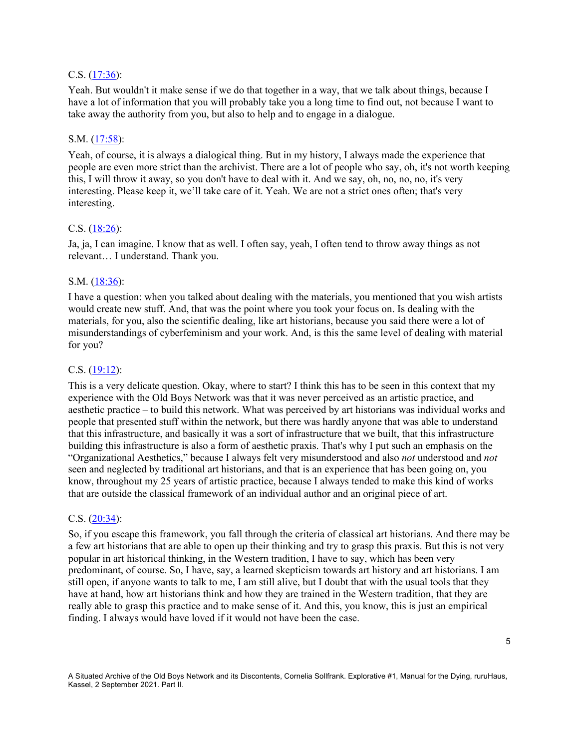### C.S. (17:36):

Yeah. But wouldn't it make sense if we do that together in a way, that we talk about things, because I have a lot of information that you will probably take you a long time to find out, not because I want to take away the authority from you, but also to help and to engage in a dialogue.

### S.M. (17:58):

Yeah, of course, it is always a dialogical thing. But in my history, I always made the experience that people are even more strict than the archivist. There are a lot of people who say, oh, it's not worth keeping this, I will throw it away, so you don't have to deal with it. And we say, oh, no, no, no, it's very interesting. Please keep it, we'll take care of it. Yeah. We are not a strict ones often; that's very interesting.

### C.S. (18:26):

Ja, ja, I can imagine. I know that as well. I often say, yeah, I often tend to throw away things as not relevant… I understand. Thank you.

### S.M.  $(18:36)$ :

I have a question: when you talked about dealing with the materials, you mentioned that you wish artists would create new stuff. And, that was the point where you took your focus on. Is dealing with the materials, for you, also the scientific dealing, like art historians, because you said there were a lot of misunderstandings of cyberfeminism and your work. And, is this the same level of dealing with material for you?

### C.S. (19:12):

This is a very delicate question. Okay, where to start? I think this has to be seen in this context that my experience with the Old Boys Network was that it was never perceived as an artistic practice, and aesthetic practice – to build this network. What was perceived by art historians was individual works and people that presented stuff within the network, but there was hardly anyone that was able to understand that this infrastructure, and basically it was a sort of infrastructure that we built, that this infrastructure building this infrastructure is also a form of aesthetic praxis. That's why I put such an emphasis on the "Organizational Aesthetics," because I always felt very misunderstood and also *not* understood and *not* seen and neglected by traditional art historians, and that is an experience that has been going on, you know, throughout my 25 years of artistic practice, because I always tended to make this kind of works that are outside the classical framework of an individual author and an original piece of art.

### C.S.  $(20:34)$ :

So, if you escape this framework, you fall through the criteria of classical art historians. And there may be a few art historians that are able to open up their thinking and try to grasp this praxis. But this is not very popular in art historical thinking, in the Western tradition, I have to say, which has been very predominant, of course. So, I have, say, a learned skepticism towards art history and art historians. I am still open, if anyone wants to talk to me, I am still alive, but I doubt that with the usual tools that they have at hand, how art historians think and how they are trained in the Western tradition, that they are really able to grasp this practice and to make sense of it. And this, you know, this is just an empirical finding. I always would have loved if it would not have been the case.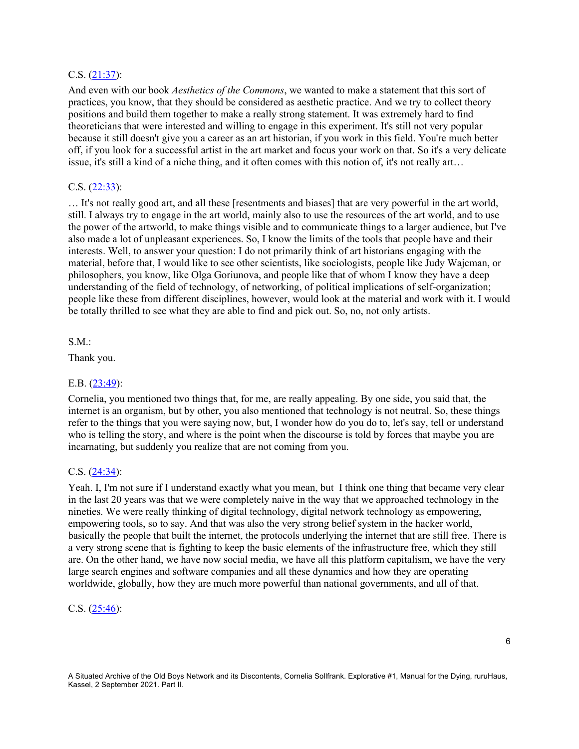### C.S. (21:37):

And even with our book *Aesthetics of the Commons*, we wanted to make a statement that this sort of practices, you know, that they should be considered as aesthetic practice. And we try to collect theory positions and build them together to make a really strong statement. It was extremely hard to find theoreticians that were interested and willing to engage in this experiment. It's still not very popular because it still doesn't give you a career as an art historian, if you work in this field. You're much better off, if you look for a successful artist in the art market and focus your work on that. So it's a very delicate issue, it's still a kind of a niche thing, and it often comes with this notion of, it's not really art…

#### C.S. (22:33):

… It's not really good art, and all these [resentments and biases] that are very powerful in the art world, still. I always try to engage in the art world, mainly also to use the resources of the art world, and to use the power of the artworld, to make things visible and to communicate things to a larger audience, but I've also made a lot of unpleasant experiences. So, I know the limits of the tools that people have and their interests. Well, to answer your question: I do not primarily think of art historians engaging with the material, before that, I would like to see other scientists, like sociologists, people like Judy Wajcman, or philosophers, you know, like Olga Goriunova, and people like that of whom I know they have a deep understanding of the field of technology, of networking, of political implications of self-organization; people like these from different disciplines, however, would look at the material and work with it. I would be totally thrilled to see what they are able to find and pick out. So, no, not only artists.

#### S.M.:

Thank you.

### E.B. (23:49):

Cornelia, you mentioned two things that, for me, are really appealing. By one side, you said that, the internet is an organism, but by other, you also mentioned that technology is not neutral. So, these things refer to the things that you were saying now, but, I wonder how do you do to, let's say, tell or understand who is telling the story, and where is the point when the discourse is told by forces that maybe you are incarnating, but suddenly you realize that are not coming from you.

#### C.S. (24:34):

Yeah. I, I'm not sure if I understand exactly what you mean, but I think one thing that became very clear in the last 20 years was that we were completely naive in the way that we approached technology in the nineties. We were really thinking of digital technology, digital network technology as empowering, empowering tools, so to say. And that was also the very strong belief system in the hacker world, basically the people that built the internet, the protocols underlying the internet that are still free. There is a very strong scene that is fighting to keep the basic elements of the infrastructure free, which they still are. On the other hand, we have now social media, we have all this platform capitalism, we have the very large search engines and software companies and all these dynamics and how they are operating worldwide, globally, how they are much more powerful than national governments, and all of that.

#### C.S. (25:46):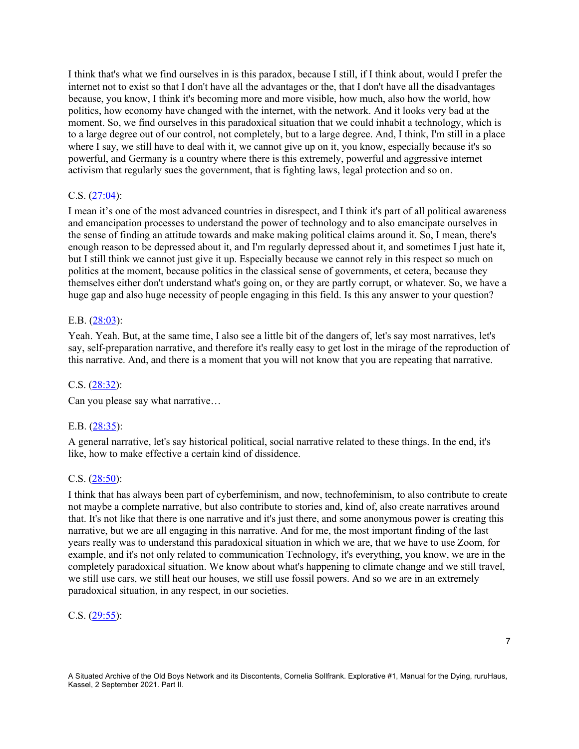I think that's what we find ourselves in is this paradox, because I still, if I think about, would I prefer the internet not to exist so that I don't have all the advantages or the, that I don't have all the disadvantages because, you know, I think it's becoming more and more visible, how much, also how the world, how politics, how economy have changed with the internet, with the network. And it looks very bad at the moment. So, we find ourselves in this paradoxical situation that we could inhabit a technology, which is to a large degree out of our control, not completely, but to a large degree. And, I think, I'm still in a place where I say, we still have to deal with it, we cannot give up on it, you know, especially because it's so powerful, and Germany is a country where there is this extremely, powerful and aggressive internet activism that regularly sues the government, that is fighting laws, legal protection and so on.

# C.S. (27:04):

I mean it's one of the most advanced countries in disrespect, and I think it's part of all political awareness and emancipation processes to understand the power of technology and to also emancipate ourselves in the sense of finding an attitude towards and make making political claims around it. So, I mean, there's enough reason to be depressed about it, and I'm regularly depressed about it, and sometimes I just hate it, but I still think we cannot just give it up. Especially because we cannot rely in this respect so much on politics at the moment, because politics in the classical sense of governments, et cetera, because they themselves either don't understand what's going on, or they are partly corrupt, or whatever. So, we have a huge gap and also huge necessity of people engaging in this field. Is this any answer to your question?

### E.B. (28:03):

Yeah. Yeah. But, at the same time, I also see a little bit of the dangers of, let's say most narratives, let's say, self-preparation narrative, and therefore it's really easy to get lost in the mirage of the reproduction of this narrative. And, and there is a moment that you will not know that you are repeating that narrative.

### C.S.  $(28:32)$ :

Can you please say what narrative…

### E.B. (28:35):

A general narrative, let's say historical political, social narrative related to these things. In the end, it's like, how to make effective a certain kind of dissidence.

### C.S.  $(28:50)$ :

I think that has always been part of cyberfeminism, and now, technofeminism, to also contribute to create not maybe a complete narrative, but also contribute to stories and, kind of, also create narratives around that. It's not like that there is one narrative and it's just there, and some anonymous power is creating this narrative, but we are all engaging in this narrative. And for me, the most important finding of the last years really was to understand this paradoxical situation in which we are, that we have to use Zoom, for example, and it's not only related to communication Technology, it's everything, you know, we are in the completely paradoxical situation. We know about what's happening to climate change and we still travel, we still use cars, we still heat our houses, we still use fossil powers. And so we are in an extremely paradoxical situation, in any respect, in our societies.

### C.S. (29:55):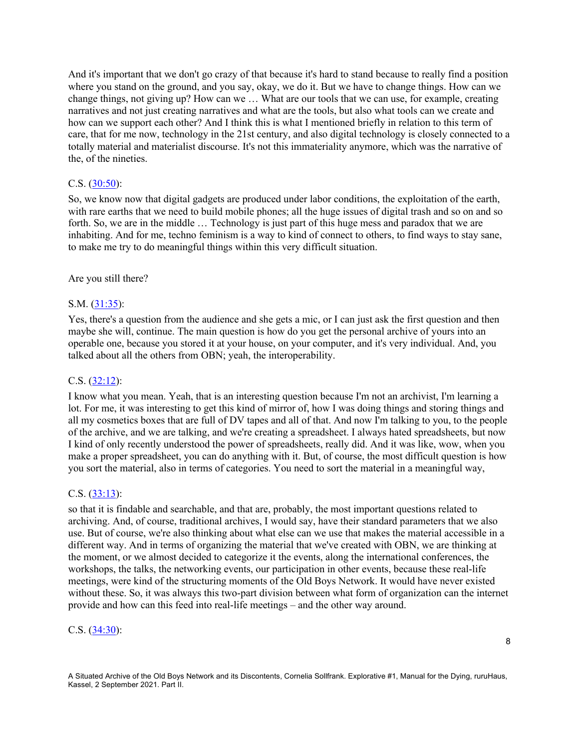And it's important that we don't go crazy of that because it's hard to stand because to really find a position where you stand on the ground, and you say, okay, we do it. But we have to change things. How can we change things, not giving up? How can we … What are our tools that we can use, for example, creating narratives and not just creating narratives and what are the tools, but also what tools can we create and how can we support each other? And I think this is what I mentioned briefly in relation to this term of care, that for me now, technology in the 21st century, and also digital technology is closely connected to a totally material and materialist discourse. It's not this immateriality anymore, which was the narrative of the, of the nineties.

### C.S. (30:50):

So, we know now that digital gadgets are produced under labor conditions, the exploitation of the earth, with rare earths that we need to build mobile phones; all the huge issues of digital trash and so on and so forth. So, we are in the middle … Technology is just part of this huge mess and paradox that we are inhabiting. And for me, techno feminism is a way to kind of connect to others, to find ways to stay sane, to make me try to do meaningful things within this very difficult situation.

#### Are you still there?

#### S.M. (31:35):

Yes, there's a question from the audience and she gets a mic, or I can just ask the first question and then maybe she will, continue. The main question is how do you get the personal archive of yours into an operable one, because you stored it at your house, on your computer, and it's very individual. And, you talked about all the others from OBN; yeah, the interoperability.

### C.S. (32:12):

I know what you mean. Yeah, that is an interesting question because I'm not an archivist, I'm learning a lot. For me, it was interesting to get this kind of mirror of, how I was doing things and storing things and all my cosmetics boxes that are full of DV tapes and all of that. And now I'm talking to you, to the people of the archive, and we are talking, and we're creating a spreadsheet. I always hated spreadsheets, but now I kind of only recently understood the power of spreadsheets, really did. And it was like, wow, when you make a proper spreadsheet, you can do anything with it. But, of course, the most difficult question is how you sort the material, also in terms of categories. You need to sort the material in a meaningful way,

### C.S.  $(33:13)$ :

so that it is findable and searchable, and that are, probably, the most important questions related to archiving. And, of course, traditional archives, I would say, have their standard parameters that we also use. But of course, we're also thinking about what else can we use that makes the material accessible in a different way. And in terms of organizing the material that we've created with OBN, we are thinking at the moment, or we almost decided to categorize it the events, along the international conferences, the workshops, the talks, the networking events, our participation in other events, because these real-life meetings, were kind of the structuring moments of the Old Boys Network. It would have never existed without these. So, it was always this two-part division between what form of organization can the internet provide and how can this feed into real-life meetings – and the other way around.

### C.S. (34:30):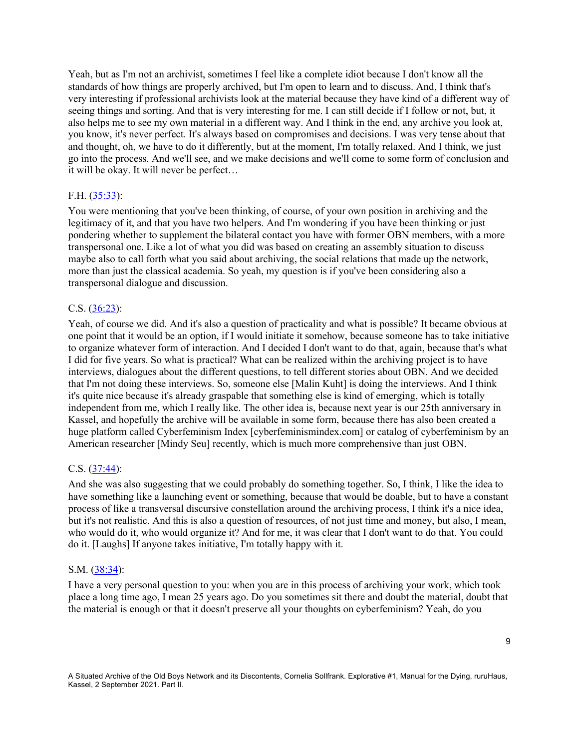Yeah, but as I'm not an archivist, sometimes I feel like a complete idiot because I don't know all the standards of how things are properly archived, but I'm open to learn and to discuss. And, I think that's very interesting if professional archivists look at the material because they have kind of a different way of seeing things and sorting. And that is very interesting for me. I can still decide if I follow or not, but, it also helps me to see my own material in a different way. And I think in the end, any archive you look at, you know, it's never perfect. It's always based on compromises and decisions. I was very tense about that and thought, oh, we have to do it differently, but at the moment, I'm totally relaxed. And I think, we just go into the process. And we'll see, and we make decisions and we'll come to some form of conclusion and it will be okay. It will never be perfect…

# F.H. (35:33):

You were mentioning that you've been thinking, of course, of your own position in archiving and the legitimacy of it, and that you have two helpers. And I'm wondering if you have been thinking or just pondering whether to supplement the bilateral contact you have with former OBN members, with a more transpersonal one. Like a lot of what you did was based on creating an assembly situation to discuss maybe also to call forth what you said about archiving, the social relations that made up the network, more than just the classical academia. So yeah, my question is if you've been considering also a transpersonal dialogue and discussion.

### C.S. (36:23):

Yeah, of course we did. And it's also a question of practicality and what is possible? It became obvious at one point that it would be an option, if I would initiate it somehow, because someone has to take initiative to organize whatever form of interaction. And I decided I don't want to do that, again, because that's what I did for five years. So what is practical? What can be realized within the archiving project is to have interviews, dialogues about the different questions, to tell different stories about OBN. And we decided that I'm not doing these interviews. So, someone else [Malin Kuht] is doing the interviews. And I think it's quite nice because it's already graspable that something else is kind of emerging, which is totally independent from me, which I really like. The other idea is, because next year is our 25th anniversary in Kassel, and hopefully the archive will be available in some form, because there has also been created a huge platform called Cyberfeminism Index [cyberfeminismindex.com] or catalog of cyberfeminism by an American researcher [Mindy Seu] recently, which is much more comprehensive than just OBN.

### C.S. (37:44):

And she was also suggesting that we could probably do something together. So, I think, I like the idea to have something like a launching event or something, because that would be doable, but to have a constant process of like a transversal discursive constellation around the archiving process, I think it's a nice idea, but it's not realistic. And this is also a question of resources, of not just time and money, but also, I mean, who would do it, who would organize it? And for me, it was clear that I don't want to do that. You could do it. [Laughs] If anyone takes initiative, I'm totally happy with it.

#### S.M. (38:34):

I have a very personal question to you: when you are in this process of archiving your work, which took place a long time ago, I mean 25 years ago. Do you sometimes sit there and doubt the material, doubt that the material is enough or that it doesn't preserve all your thoughts on cyberfeminism? Yeah, do you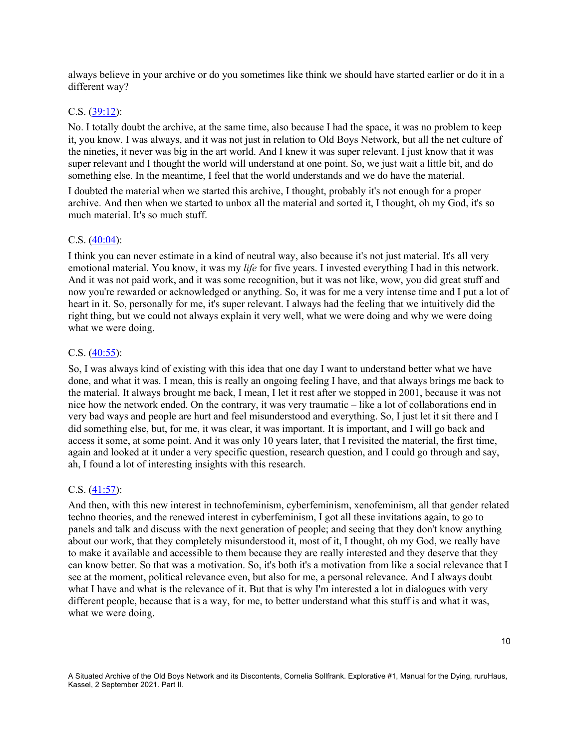always believe in your archive or do you sometimes like think we should have started earlier or do it in a different way?

### C.S. (39:12):

No. I totally doubt the archive, at the same time, also because I had the space, it was no problem to keep it, you know. I was always, and it was not just in relation to Old Boys Network, but all the net culture of the nineties, it never was big in the art world. And I knew it was super relevant. I just know that it was super relevant and I thought the world will understand at one point. So, we just wait a little bit, and do something else. In the meantime, I feel that the world understands and we do have the material.

I doubted the material when we started this archive, I thought, probably it's not enough for a proper archive. And then when we started to unbox all the material and sorted it, I thought, oh my God, it's so much material. It's so much stuff.

### C.S. (40:04):

I think you can never estimate in a kind of neutral way, also because it's not just material. It's all very emotional material. You know, it was my *life* for five years. I invested everything I had in this network. And it was not paid work, and it was some recognition, but it was not like, wow, you did great stuff and now you're rewarded or acknowledged or anything. So, it was for me a very intense time and I put a lot of heart in it. So, personally for me, it's super relevant. I always had the feeling that we intuitively did the right thing, but we could not always explain it very well, what we were doing and why we were doing what we were doing.

#### C.S. (40:55):

So, I was always kind of existing with this idea that one day I want to understand better what we have done, and what it was. I mean, this is really an ongoing feeling I have, and that always brings me back to the material. It always brought me back, I mean, I let it rest after we stopped in 2001, because it was not nice how the network ended. On the contrary, it was very traumatic – like a lot of collaborations end in very bad ways and people are hurt and feel misunderstood and everything. So, I just let it sit there and I did something else, but, for me, it was clear, it was important. It is important, and I will go back and access it some, at some point. And it was only 10 years later, that I revisited the material, the first time, again and looked at it under a very specific question, research question, and I could go through and say, ah, I found a lot of interesting insights with this research.

#### C.S. (41:57):

And then, with this new interest in technofeminism, cyberfeminism, xenofeminism, all that gender related techno theories, and the renewed interest in cyberfeminism, I got all these invitations again, to go to panels and talk and discuss with the next generation of people; and seeing that they don't know anything about our work, that they completely misunderstood it, most of it, I thought, oh my God, we really have to make it available and accessible to them because they are really interested and they deserve that they can know better. So that was a motivation. So, it's both it's a motivation from like a social relevance that I see at the moment, political relevance even, but also for me, a personal relevance. And I always doubt what I have and what is the relevance of it. But that is why I'm interested a lot in dialogues with very different people, because that is a way, for me, to better understand what this stuff is and what it was, what we were doing.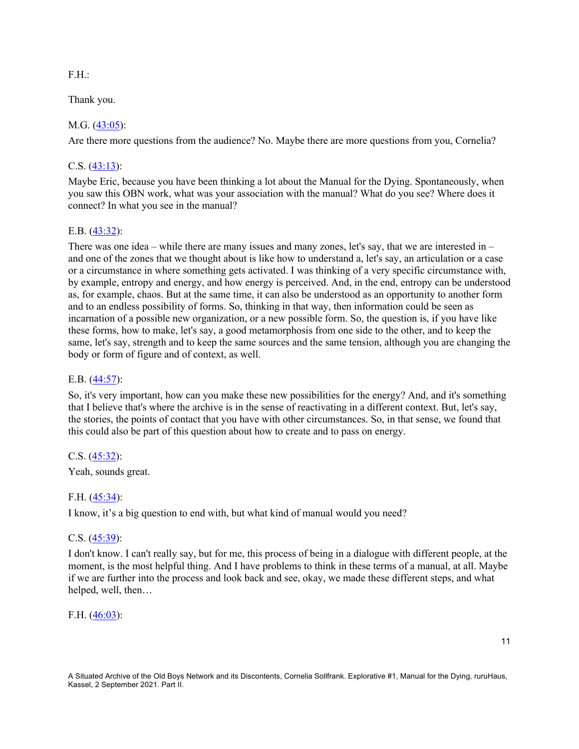### F.H.:

Thank you.

# M.G. (43:05):

Are there more questions from the audience? No. Maybe there are more questions from you, Cornelia?

# C.S.  $(43:13)$ :

Maybe Eric, because you have been thinking a lot about the Manual for the Dying. Spontaneously, when you saw this OBN work, what was your association with the manual? What do you see? Where does it connect? In what you see in the manual?

# E.B. (43:32):

There was one idea – while there are many issues and many zones, let's say, that we are interested in – and one of the zones that we thought about is like how to understand a, let's say, an articulation or a case or a circumstance in where something gets activated. I was thinking of a very specific circumstance with, by example, entropy and energy, and how energy is perceived. And, in the end, entropy can be understood as, for example, chaos. But at the same time, it can also be understood as an opportunity to another form and to an endless possibility of forms. So, thinking in that way, then information could be seen as incarnation of a possible new organization, or a new possible form. So, the question is, if you have like these forms, how to make, let's say, a good metamorphosis from one side to the other, and to keep the same, let's say, strength and to keep the same sources and the same tension, although you are changing the body or form of figure and of context, as well.

# E.B. (44:57):

So, it's very important, how can you make these new possibilities for the energy? And, and it's something that I believe that's where the archive is in the sense of reactivating in a different context. But, let's say, the stories, the points of contact that you have with other circumstances. So, in that sense, we found that this could also be part of this question about how to create and to pass on energy.

### C.S. (45:32):

Yeah, sounds great.

# F.H. (45:34):

I know, it's a big question to end with, but what kind of manual would you need?

### C.S. (45:39):

I don't know. I can't really say, but for me, this process of being in a dialogue with different people, at the moment, is the most helpful thing. And I have problems to think in these terms of a manual, at all. Maybe if we are further into the process and look back and see, okay, we made these different steps, and what helped, well, then…

### F.H. (46:03):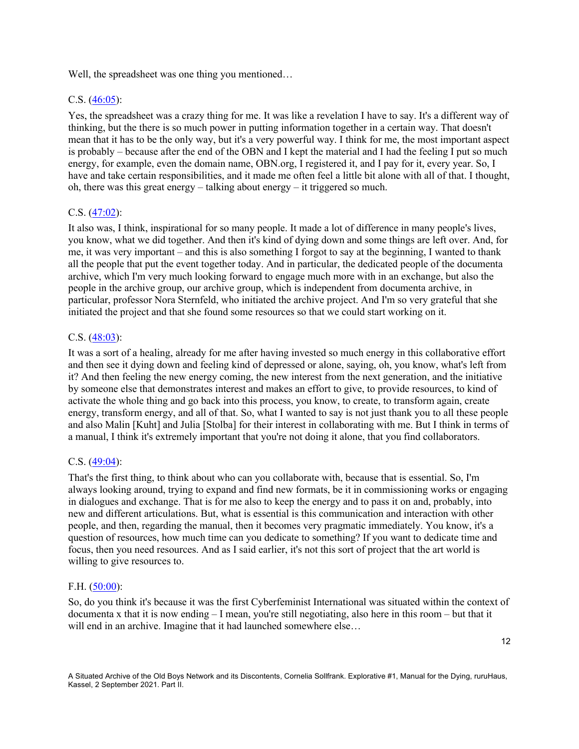Well, the spreadsheet was one thing you mentioned...

#### C.S. (46:05):

Yes, the spreadsheet was a crazy thing for me. It was like a revelation I have to say. It's a different way of thinking, but the there is so much power in putting information together in a certain way. That doesn't mean that it has to be the only way, but it's a very powerful way. I think for me, the most important aspect is probably – because after the end of the OBN and I kept the material and I had the feeling I put so much energy, for example, even the domain name, OBN.org, I registered it, and I pay for it, every year. So, I have and take certain responsibilities, and it made me often feel a little bit alone with all of that. I thought, oh, there was this great energy – talking about energy – it triggered so much.

#### C.S. (47:02):

It also was, I think, inspirational for so many people. It made a lot of difference in many people's lives, you know, what we did together. And then it's kind of dying down and some things are left over. And, for me, it was very important – and this is also something I forgot to say at the beginning, I wanted to thank all the people that put the event together today. And in particular, the dedicated people of the documenta archive, which I'm very much looking forward to engage much more with in an exchange, but also the people in the archive group, our archive group, which is independent from documenta archive, in particular, professor Nora Sternfeld, who initiated the archive project. And I'm so very grateful that she initiated the project and that she found some resources so that we could start working on it.

#### C.S. (48:03):

It was a sort of a healing, already for me after having invested so much energy in this collaborative effort and then see it dying down and feeling kind of depressed or alone, saying, oh, you know, what's left from it? And then feeling the new energy coming, the new interest from the next generation, and the initiative by someone else that demonstrates interest and makes an effort to give, to provide resources, to kind of activate the whole thing and go back into this process, you know, to create, to transform again, create energy, transform energy, and all of that. So, what I wanted to say is not just thank you to all these people and also Malin [Kuht] and Julia [Stolba] for their interest in collaborating with me. But I think in terms of a manual, I think it's extremely important that you're not doing it alone, that you find collaborators.

#### C.S. (49:04):

That's the first thing, to think about who can you collaborate with, because that is essential. So, I'm always looking around, trying to expand and find new formats, be it in commissioning works or engaging in dialogues and exchange. That is for me also to keep the energy and to pass it on and, probably, into new and different articulations. But, what is essential is this communication and interaction with other people, and then, regarding the manual, then it becomes very pragmatic immediately. You know, it's a question of resources, how much time can you dedicate to something? If you want to dedicate time and focus, then you need resources. And as I said earlier, it's not this sort of project that the art world is willing to give resources to.

#### F.H. (50:00):

So, do you think it's because it was the first Cyberfeminist International was situated within the context of documenta x that it is now ending  $-1$  mean, you're still negotiating, also here in this room  $-$  but that it will end in an archive. Imagine that it had launched somewhere else...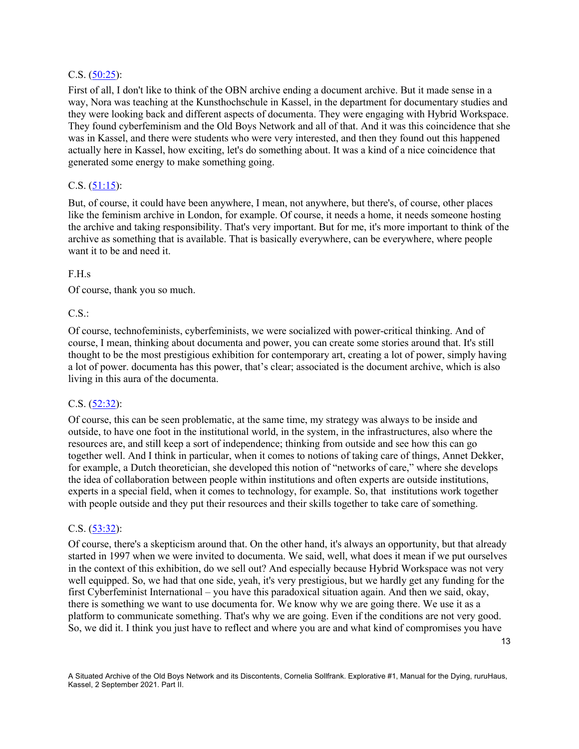### C.S. (50:25):

First of all, I don't like to think of the OBN archive ending a document archive. But it made sense in a way, Nora was teaching at the Kunsthochschule in Kassel, in the department for documentary studies and they were looking back and different aspects of documenta. They were engaging with Hybrid Workspace. They found cyberfeminism and the Old Boys Network and all of that. And it was this coincidence that she was in Kassel, and there were students who were very interested, and then they found out this happened actually here in Kassel, how exciting, let's do something about. It was a kind of a nice coincidence that generated some energy to make something going.

# C.S.  $(51:15)$ :

But, of course, it could have been anywhere, I mean, not anywhere, but there's, of course, other places like the feminism archive in London, for example. Of course, it needs a home, it needs someone hosting the archive and taking responsibility. That's very important. But for me, it's more important to think of the archive as something that is available. That is basically everywhere, can be everywhere, where people want it to be and need it.

### F.H.s

Of course, thank you so much.

### $CS:$

Of course, technofeminists, cyberfeminists, we were socialized with power-critical thinking. And of course, I mean, thinking about documenta and power, you can create some stories around that. It's still thought to be the most prestigious exhibition for contemporary art, creating a lot of power, simply having a lot of power. documenta has this power, that's clear; associated is the document archive, which is also living in this aura of the documenta.

# C.S. (52:32):

Of course, this can be seen problematic, at the same time, my strategy was always to be inside and outside, to have one foot in the institutional world, in the system, in the infrastructures, also where the resources are, and still keep a sort of independence; thinking from outside and see how this can go together well. And I think in particular, when it comes to notions of taking care of things, Annet Dekker, for example, a Dutch theoretician, she developed this notion of "networks of care," where she develops the idea of collaboration between people within institutions and often experts are outside institutions, experts in a special field, when it comes to technology, for example. So, that institutions work together with people outside and they put their resources and their skills together to take care of something.

### C.S. (53:32):

Of course, there's a skepticism around that. On the other hand, it's always an opportunity, but that already started in 1997 when we were invited to documenta. We said, well, what does it mean if we put ourselves in the context of this exhibition, do we sell out? And especially because Hybrid Workspace was not very well equipped. So, we had that one side, yeah, it's very prestigious, but we hardly get any funding for the first Cyberfeminist International – you have this paradoxical situation again. And then we said, okay, there is something we want to use documenta for. We know why we are going there. We use it as a platform to communicate something. That's why we are going. Even if the conditions are not very good. So, we did it. I think you just have to reflect and where you are and what kind of compromises you have

13